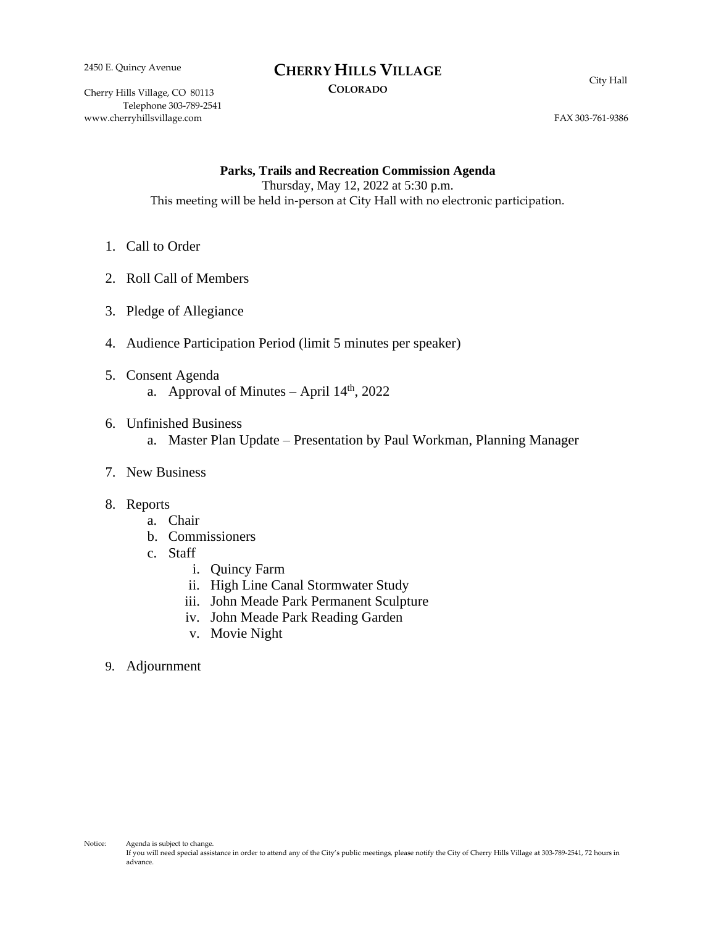2450 E. Quincy Avenue

## **CHERRY HILLS VILLAGE**

**COLORADO**

City Hall

Cherry Hills Village, CO 80113 Telephone 303-789-2541 www.cherryhillsvillage.com FAX 303-761-9386

**Parks, Trails and Recreation Commission Agenda** Thursday, May 12, 2022 at 5:30 p.m. This meeting will be held in-person at City Hall with no electronic participation.

- 1. Call to Order
- 2. Roll Call of Members
- 3. Pledge of Allegiance
- 4. Audience Participation Period (limit 5 minutes per speaker)
- 5. Consent Agenda
	- a. Approval of Minutes  $-$  April 14<sup>th</sup>, 2022
- 6. Unfinished Business
	- a. Master Plan Update Presentation by Paul Workman, Planning Manager
- 7. New Business
- 8. Reports
	- a. Chair
	- b. Commissioners
	- c. Staff
		- i. Quincy Farm
		- ii. High Line Canal Stormwater Study
		- iii. John Meade Park Permanent Sculpture
		- iv. John Meade Park Reading Garden
		- v. Movie Night
- 9. Adjournment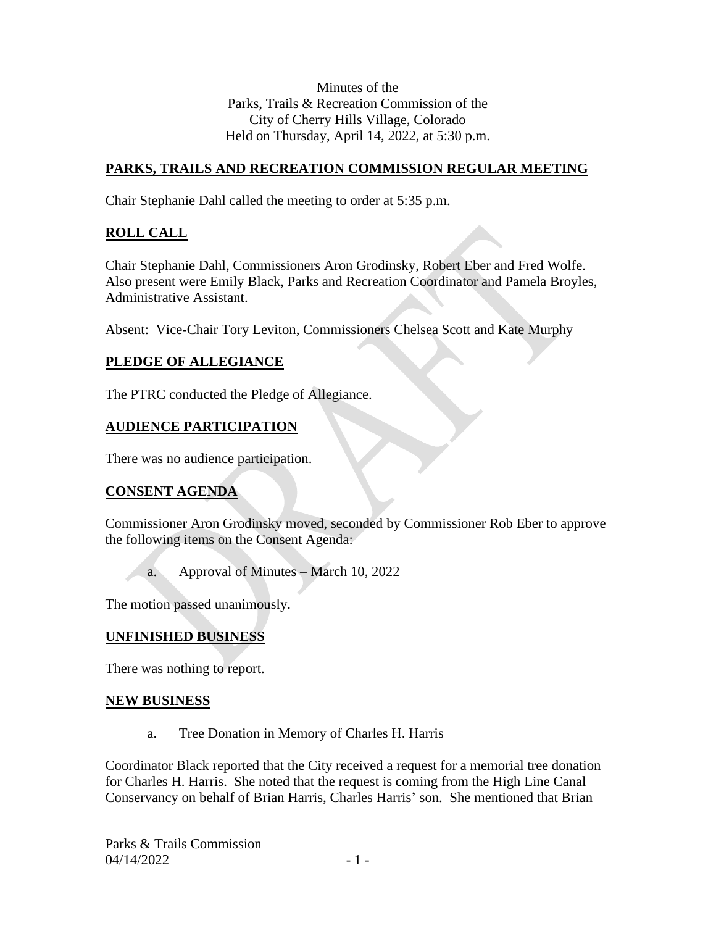Minutes of the Parks, Trails & Recreation Commission of the City of Cherry Hills Village, Colorado Held on Thursday, April 14, 2022, at 5:30 p.m.

## **PARKS, TRAILS AND RECREATION COMMISSION REGULAR MEETING**

Chair Stephanie Dahl called the meeting to order at 5:35 p.m.

## **ROLL CALL**

Chair Stephanie Dahl, Commissioners Aron Grodinsky, Robert Eber and Fred Wolfe. Also present were Emily Black, Parks and Recreation Coordinator and Pamela Broyles, Administrative Assistant.

Absent: Vice-Chair Tory Leviton, Commissioners Chelsea Scott and Kate Murphy

## **PLEDGE OF ALLEGIANCE**

The PTRC conducted the Pledge of Allegiance.

## **AUDIENCE PARTICIPATION**

There was no audience participation.

## **CONSENT AGENDA**

Commissioner Aron Grodinsky moved, seconded by Commissioner Rob Eber to approve the following items on the Consent Agenda:

a. Approval of Minutes – March 10, 2022

The motion passed unanimously.

## **UNFINISHED BUSINESS**

There was nothing to report.

### **NEW BUSINESS**

a. Tree Donation in Memory of Charles H. Harris

Coordinator Black reported that the City received a request for a memorial tree donation for Charles H. Harris. She noted that the request is coming from the High Line Canal Conservancy on behalf of Brian Harris, Charles Harris' son. She mentioned that Brian

Parks & Trails Commission  $04/14/2022$  - 1 -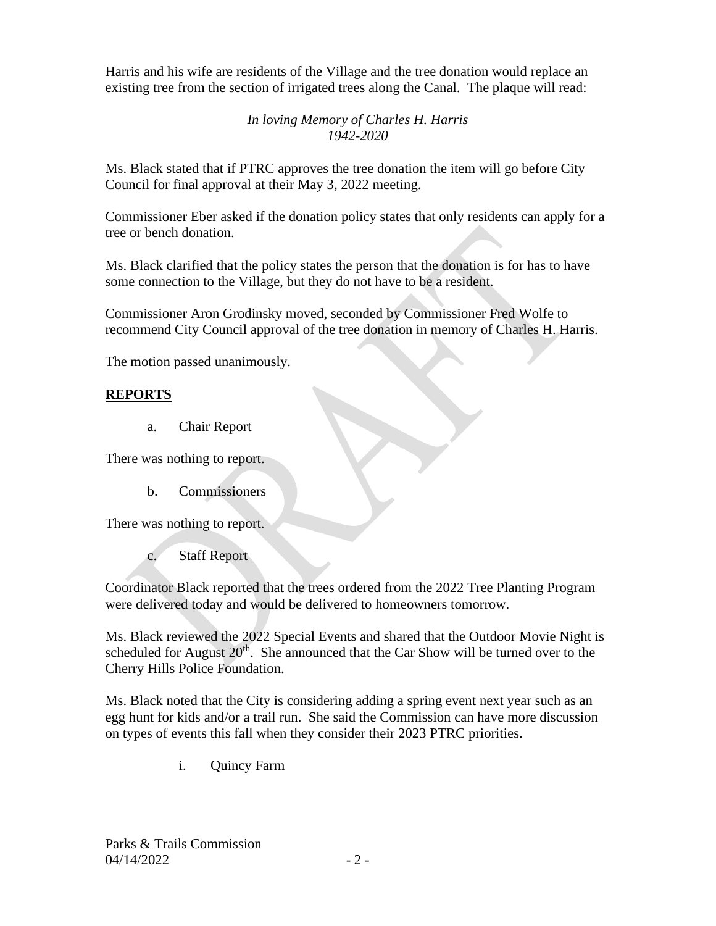Harris and his wife are residents of the Village and the tree donation would replace an existing tree from the section of irrigated trees along the Canal. The plaque will read:

## *In loving Memory of Charles H. Harris 1942-2020*

Ms. Black stated that if PTRC approves the tree donation the item will go before City Council for final approval at their May 3, 2022 meeting.

Commissioner Eber asked if the donation policy states that only residents can apply for a tree or bench donation.

Ms. Black clarified that the policy states the person that the donation is for has to have some connection to the Village, but they do not have to be a resident.

Commissioner Aron Grodinsky moved, seconded by Commissioner Fred Wolfe to recommend City Council approval of the tree donation in memory of Charles H. Harris.

The motion passed unanimously.

## **REPORTS**

a. Chair Report

There was nothing to report.

b. Commissioners

There was nothing to report.

c. Staff Report

Coordinator Black reported that the trees ordered from the 2022 Tree Planting Program were delivered today and would be delivered to homeowners tomorrow.

Ms. Black reviewed the 2022 Special Events and shared that the Outdoor Movie Night is scheduled for August  $20<sup>th</sup>$ . She announced that the Car Show will be turned over to the Cherry Hills Police Foundation.

Ms. Black noted that the City is considering adding a spring event next year such as an egg hunt for kids and/or a trail run. She said the Commission can have more discussion on types of events this fall when they consider their 2023 PTRC priorities.

i. Quincy Farm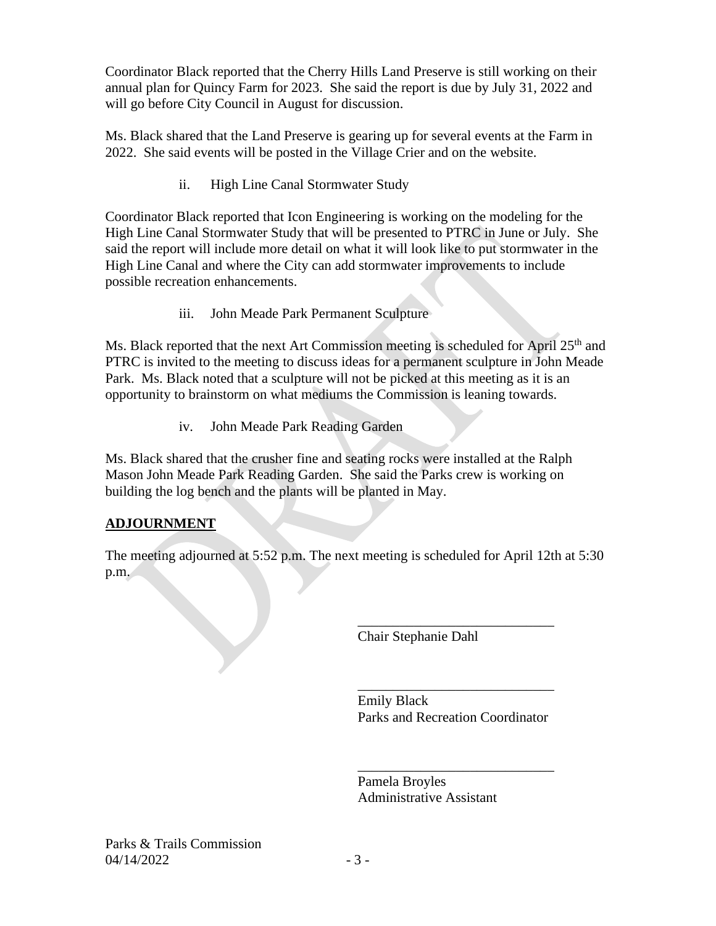Coordinator Black reported that the Cherry Hills Land Preserve is still working on their annual plan for Quincy Farm for 2023. She said the report is due by July 31, 2022 and will go before City Council in August for discussion.

Ms. Black shared that the Land Preserve is gearing up for several events at the Farm in 2022. She said events will be posted in the Village Crier and on the website.

ii. High Line Canal Stormwater Study

Coordinator Black reported that Icon Engineering is working on the modeling for the High Line Canal Stormwater Study that will be presented to PTRC in June or July. She said the report will include more detail on what it will look like to put stormwater in the High Line Canal and where the City can add stormwater improvements to include possible recreation enhancements.

iii. John Meade Park Permanent Sculpture

Ms. Black reported that the next Art Commission meeting is scheduled for April  $25<sup>th</sup>$  and PTRC is invited to the meeting to discuss ideas for a permanent sculpture in John Meade Park. Ms. Black noted that a sculpture will not be picked at this meeting as it is an opportunity to brainstorm on what mediums the Commission is leaning towards.

iv. John Meade Park Reading Garden

Ms. Black shared that the crusher fine and seating rocks were installed at the Ralph Mason John Meade Park Reading Garden. She said the Parks crew is working on building the log bench and the plants will be planted in May.

## **ADJOURNMENT**

The meeting adjourned at 5:52 p.m. The next meeting is scheduled for April 12th at 5:30 p.m.

Chair Stephanie Dahl

\_\_\_\_\_\_\_\_\_\_\_\_\_\_\_\_\_\_\_\_\_\_\_\_\_\_\_\_ Emily Black Parks and Recreation Coordinator

\_\_\_\_\_\_\_\_\_\_\_\_\_\_\_\_\_\_\_\_\_\_\_\_\_\_\_\_

\_\_\_\_\_\_\_\_\_\_\_\_\_\_\_\_\_\_\_\_\_\_\_\_\_\_\_\_

Pamela Broyles Administrative Assistant